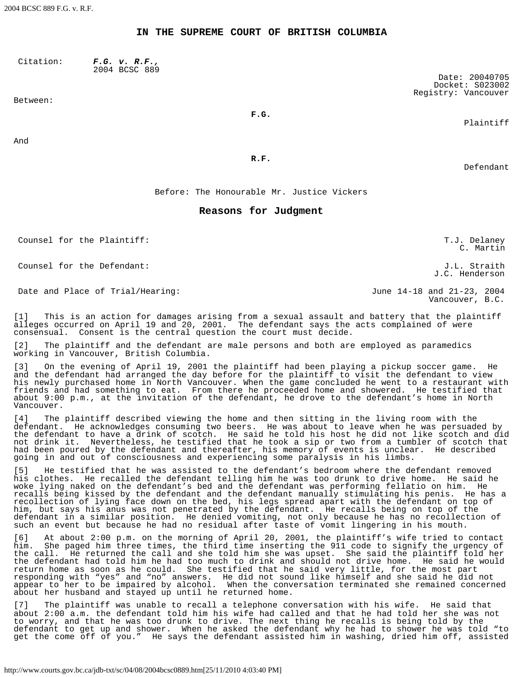## **IN THE SUPREME COURT OF BRITISH COLUMBIA**

Citation: *F.G. v. R.F.,* 2004 BCSC 889

Between:

**F.G.**

Plaintiff

Date: 20040705 Docket: S023002 Registry: Vancouver

And

**R.F.**

Defendant

Before: The Honourable Mr. Justice Vickers

## **Reasons for Judgment**

Counsel for the Plaintiff: The Counsel for the Plaintiff: T.J. Delaney

Counsel for the Defendant: J.L. Straith

Date and Place of Trial/Hearing:  $June$  14-18 and 21-23, 2004

C. Martin

J.C. Henderson

Vancouver, B.C.

[1] This is an action for damages arising from a sexual assault and battery that the plaintiff alleges occurred on April 19 and 20, 2001. The defendant says the acts complained of were consensual. Consent is the central question the court must decide.

[2] The plaintiff and the defendant are male persons and both are employed as paramedics working in Vancouver, British Columbia.

[3] On the evening of April 19, 2001 the plaintiff had been playing a pickup soccer game. He and the defendant had arranged the day before for the plaintiff to visit the defendant to view his newly purchased home in North Vancouver. When the game concluded he went to a restaurant with friends and had something to eat. From there he proceeded home and showered. He testified that about 9:00 p.m., at the invitation of the defendant, he drove to the defendant's home in North Vancouver.

[4] The plaintiff described viewing the home and then sitting in the living room with the defendant. He acknowledges consuming two beers. He was about to leave when he was persuaded by the defendant to have a drink of scotch. He said he told his host he did not like scotch and did not drink it. Nevertheless, he testified that he took a sip or two from a tumbler of scotch that had been poured by the defendant and thereafter, his memory of events is unclear. He described going in and out of consciousness and experiencing some paralysis in his limbs.

[5] He testified that he was assisted to the defendant's bedroom where the defendant removed his clothes. He recalled the defendant telling him he was too drunk to drive home. He said he woke lying naked on the defendant's bed and the defendant was performing fellatio on him. He recalls being kissed by the defendant and the defendant manually stimulating his penis. He has a recollection of lying face down on the bed, his legs spread apart with the defendant on top of him, but says his anus was not penetrated by the defendant. He recalls being on top of the defendant in a similar position. He denied vomiting, not only because he has no recollection of such an event but because he had no residual after taste of vomit lingering in his mouth.

[6] At about 2:00 p.m. on the morning of April 20, 2001, the plaintiff's wife tried to contact him. She paged him three times, the third time inserting the 911 code to signify the urgency of the call. He returned the call and she told him she was upset. She said the plaintiff told her the defendant had told him he had too much to drink and should not drive home. He said he would return home as soon as he could. She testified that he said very little, for the most part responding with "yes" and "no" answers. He did not sound like himself and she said he did not appear to her to be impaired by alcohol. When the conversation terminated she remained concerned about her husband and stayed up until he returned home.

[7] The plaintiff was unable to recall a telephone conversation with his wife. He said that about 2:00 a.m. the defendant told him his wife had called and that he had told her she was not to worry, and that he was too drunk to drive. The next thing he recalls is being told by the defendant to get up and shower. When he asked the defendant why he had to shower he was told "to get the come off of you." He says the defendant assisted him in washing, dried him off, assisted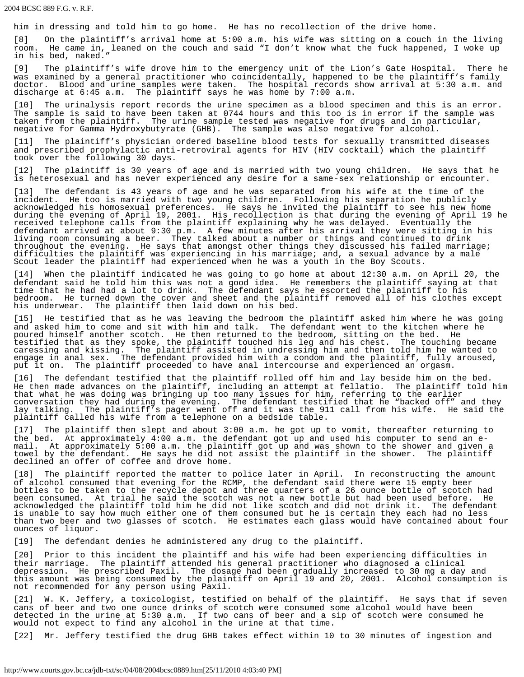him in dressing and told him to go home. He has no recollection of the drive home.

[8] On the plaintiff's arrival home at 5:00 a.m. his wife was sitting on a couch in the living room. He came in, leaned on the couch and said "I don't know what the fuck happened, I woke up in his bed, naked."

[9] The plaintiff's wife drove him to the emergency unit of the Lion's Gate Hospital. There he was examined by a general practitioner who coincidentally, happened to be the plaintiff's family doctor. Blood and urine samples were taken. The hospital records show arrival at 5:30 a.m. and discharge at 6:45 a.m. The plaintiff says he was home by 7:00 a.m.

[10] The urinalysis report records the urine specimen as a blood specimen and this is an error. The sample is said to have been taken at 0744 hours and this too is in error if the sample was taken from the plaintiff. The urine sample tested was negative for drugs and in particular, negative for Gamma Hydroxybutyrate (GHB). The sample was also negative for alcohol.

[11] The plaintiff's physician ordered baseline blood tests for sexually transmitted diseases and prescribed prophylactic anti-retroviral agents for HIV (HIV cocktail) which the plaintiff took over the following 30 days.

[12] The plaintiff is 30 years of age and is married with two young children. He says that he is heterosexual and has never experienced any desire for a same-sex relationship or encounter.

The defendant is 43 years of age and he was separated from his wife at the time of the incident. He too is married with two young children. Following his separation he publicly acknowledged his homosexual preferences. He says he invited the plaintiff to see his new home during the evening of April 19, 2001. His recollection is that during the evening of April 19 he received telephone calls from the plaintiff explaining why he was delayed. Eventually the defendant arrived at about 9:30 p.m. A few minutes after his arrival they were sitting in his living room consuming a beer. They talked about a number or things and continued to drink throughout the evening. He says that amongst other things they discussed his failed marriage; difficulties the plaintiff was experiencing in his marriage; and, a sexual advance by a male Scout leader the plaintiff had experienced when he was a youth in the Boy Scouts.

[14] When the plaintiff indicated he was going to go home at about 12:30 a.m. on April 20, the defendant said he told him this was not a good idea. He remembers the plaintiff saying at that time that he had had a lot to drink. The defendant says he escorted the plaintiff to his bedroom. He turned down the cover and sheet and the plaintiff removed all of his clothes except his underwear. The plaintiff then laid down on his bed.

[15] He testified that as he was leaving the bedroom the plaintiff asked him where he was going and asked him to come and sit with him and talk. The defendant went to the kitchen where he poured himself another scotch. He then returned to the bedroom, sitting on the bed. He testified that as they spoke, the plaintiff touched his leg and his chest. The touching became caressing and kissing. The plaintiff assisted in undressing him and then told him he wanted to engage in anal sex. The defendant provided him with a condom and the plaintiff, fully aroused, put it on. The plaintiff proceeded to have anal intercourse and experienced an orgasm.

[16] The defendant testified that the plaintiff rolled off him and lay beside him on the bed. He then made advances on the plaintiff, including an attempt at fellatio. The plaintiff told him that what he was doing was bringing up too many issues for him, referring to the earlier conversation they had during the evening. The defendant testified that he "backed off" and they lay talking. The plaintiff's pager went off and it was the 911 call from his wife. He said the plaintiff called his wife from a telephone on a bedside table.

[17] The plaintiff then slept and about 3:00 a.m. he got up to vomit, thereafter returning to the bed. At approximately 4:00 a.m. the defendant got up and used his computer to send an email. At approximately 5:00 a.m. the plaintiff got up and was shown to the shower and given a towel by the defendant. He says he did not assist the plaintiff in the shower. The plaintiff declined an offer of coffee and drove home.

[18] The plaintiff reported the matter to police later in April. In reconstructing the amount of alcohol consumed that evening for the RCMP, the defendant said there were 15 empty beer bottles to be taken to the recycle depot and three quarters of a 26 ounce bottle of scotch had been consumed. At trial he said the scotch was not a new bottle but had been used before. He acknowledged the plaintiff told him he did not like scotch and did not drink it. The defendant is unable to say how much either one of them consumed but he is certain they each had no less than two beer and two glasses of scotch. He estimates each glass would have contained about four ounces of liquor.

[19] The defendant denies he administered any drug to the plaintiff.

[20] Prior to this incident the plaintiff and his wife had been experiencing difficulties in their marriage. The plaintiff attended his general practitioner who diagnosed a clinical depression. He prescribed Paxil. The dosage had been gradually increased to 30 mg a day and this amount was being consumed by the plaintiff on April 19 and 20, 2001. Alcohol consumption is not recommended for any person using Paxil.

[21] W. K. Jeffery, a toxicologist, testified on behalf of the plaintiff. He says that if seven cans of beer and two one ounce drinks of scotch were consumed some alcohol would have been detected in the urine at 5:30 a.m. If two cans of beer and a sip of scotch were consumed he would not expect to find any alcohol in the urine at that time.

[22] Mr. Jeffery testified the drug GHB takes effect within 10 to 30 minutes of ingestion and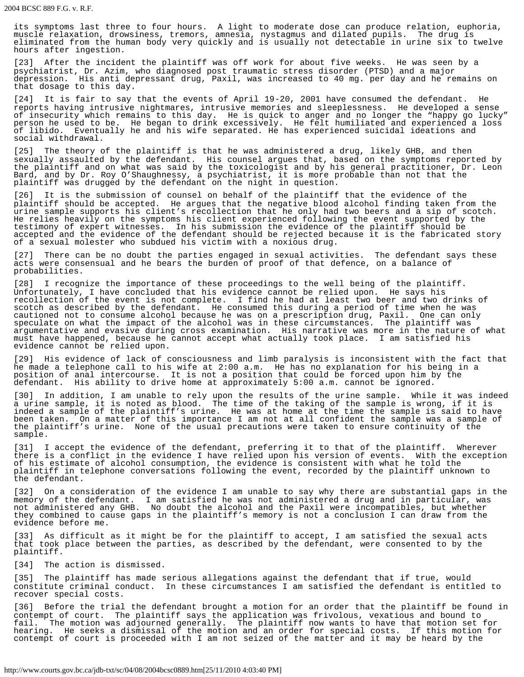its symptoms last three to four hours. A light to moderate dose can produce relation, euphoria, muscle relaxation, drowsiness, tremors, amnesia, nystagmus and dilated pupils. The drug is eliminated from the human body very quickly and is usually not detectable in urine six to twelve hours after ingestion.

[23] After the incident the plaintiff was off work for about five weeks. He was seen by a psychiatrist, Dr. Azim, who diagnosed post traumatic stress disorder (PTSD) and a major depression. His anti depressant drug, Paxil, was increased to 40 mg. per day and he remains on that dosage to this day.

[24] It is fair to say that the events of April 19-20, 2001 have consumed the defendant. He reports having intrusive nightmares, intrusive memories and sleeplessness. He developed a sense of insecurity which remains to this day. He is quick to anger and no longer the "happy go lucky" person he used to be. He began to drink excessively. He felt humiliated and experienced a loss of libido. Eventually he and his wife separated. He has experienced suicidal ideations and social withdrawal.

[25] The theory of the plaintiff is that he was administered a drug, likely GHB, and then sexually assaulted by the defendant. His counsel argues that, based on the symptoms reported by the plaintiff and on what was said by the toxicologist and by his general practitioner, Dr. Leon Bard, and by Dr. Roy O'Shaughnessy, a psychiatrist, it is more probable than not that the plaintiff was drugged by the defendant on the night in question.

[26] It is the submission of counsel on behalf of the plaintiff that the evidence of the plaintiff should be accepted. He argues that the negative blood alcohol finding taken from the urine sample supports his client's recollection that he only had two beers and a sip of scotch. He relies heavily on the symptoms his client experienced following the event supported by the testimony of expert witnesses. In his submission the evidence of the plaintiff should be accepted and the evidence of the defendant should be rejected because it is the fabricated story of a sexual molester who subdued his victim with a noxious drug.

[27] There can be no doubt the parties engaged in sexual activities. The defendant says these acts were consensual and he bears the burden of proof of that defence, on a balance of probabilities.

[28] I recognize the importance of these proceedings to the well being of the plaintiff. Unfortunately, I have concluded that his evidence cannot be relied upon. He says his recollection of the event is not complete. I find he had at least two beer and two drinks of scotch as described by the defendant. He consumed this during a period of time when he was cautioned not to consume alcohol because he was on a prescription drug, Paxil. One can only speculate on what the impact of the alcohol was in these circumstances. The plaintiff was argumentative and evasive during cross examination. His narrative was more in the nature of what must have happened, because he cannot accept what actually took place. I am satisfied his evidence cannot be relied upon.

[29] His evidence of lack of consciousness and limb paralysis is inconsistent with the fact that he made a telephone call to his wife at 2:00 a.m. He has no explanation for his being in a position of anal intercourse. It is not a position that could be forced upon him by the defendant. His ability to drive home at approximately 5:00 a.m. cannot be ignored.

[30] In addition, I am unable to rely upon the results of the urine sample. While it was indeed a urine sample, it is noted as blood. The time of the taking of the sample is wrong, if it is indeed a sample of the plaintiff's urine. He was at home at the time the sample is said to have been taken. On a matter of this importance I am not at all confident the sample was a sample of the plaintiff's urine. None of the usual precautions were taken to ensure continuity of the sample.

[31] I accept the evidence of the defendant, preferring it to that of the plaintiff. Wherever there is a conflict in the evidence I have relied upon his version of events. With the exception of his estimate of alcohol consumption, the evidence is consistent with what he told the plaintiff in telephone conversations following the event, recorded by the plaintiff unknown to the defendant.

[32] On a consideration of the evidence I am unable to say why there are substantial gaps in the memory of the defendant. I am satisfied he was not administered a drug and in particular, was not administered any GHB. No doubt the alcohol and the Paxil were incompatibles, but whether they combined to cause gaps in the plaintiff's memory is not a conclusion I can draw from the evidence before me.

[33] As difficult as it might be for the plaintiff to accept, I am satisfied the sexual acts that took place between the parties, as described by the defendant, were consented to by the plaintiff.

[34] The action is dismissed.

[35] The plaintiff has made serious allegations against the defendant that if true, would constitute criminal conduct. In these circumstances I am satisfied the defendant is entitled to recover special costs.

[36] Before the trial the defendant brought a motion for an order that the plaintiff be found in contempt of court. The plaintiff says the application was frivolous, vexatious and bound to fail. The motion was adjourned generally. The plaintiff now wants to have that motion set for hearing. He seeks a dismissal of the motion and an order for special costs. If this motion for contempt of court is proceeded with I am not seized of the matter and it may be heard by the